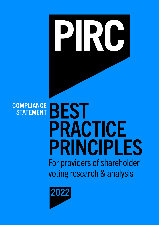# $\overline{\mathbf{R}}$ BEST **COMPLIANCE STATEMENT** PRACTICE PRINCIPLES For providers of shareholder voting research & analysis

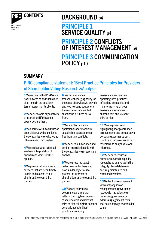

BEST PRACTICE PRINCIPLES 2021

# CONTENTS BACKGROUND p4

## PRINCIPLE 1 SERVICE QUALITY p4

## PRINCIPLE 2 CONFLICTS OF INTEREST MANAGEMENT p9

## PRINCIPLE 3 COMMUNICATION POLICY p10

### SUMMARY

## PIRC compliance statement: 'Best Practice Principles for Providers of Shareholder Voting Research &Analysis

**1** We recognise that PIRC is in a position of trust and should act at all times in the best long terms interests of its clients.

2 We seek to avoid any conflicts of interest and if they arise, openly declare them.

**3** We operate within a culture of open dialogue with our clients, the companies we evaluate and other relevant third parties.

4 We are clear what is factual analysis, interpretation of analysis and what is PIRC's opinion.

5 We provide information and services that are clear, timely, usable and relevant to our clients and relevant third parties.

**6** We have a clear and transparent charging policy for the range of services we provide and we are open about where the sources of income that sustain the business derive from.

7 We maintain a viable operational and financially sustainable business model free from any conflicts.

8 We seek to build an open and conflict-free relationship with the companies we research and analyse.

**9** We are prepared to act collectively with others who have similar objectives to protect the interests of shareholders and relevant third parties.

10 We seek to produce governance analysis that reflects the long term interests of shareholders and relevant third parties taking into account generally accepted best practice in company

governance, recognising operating best practices of leading companies and monitoring risks of poor governance to our clients, shareholders and relevant third parties.

**11** We are proactive in highlighting poor governance arrangements and comparative corporate governance best practice so those receiving our research and analysis are well informed.

12 We seek to ensure all outputs are based on quality research and analysis with the integrity of our database is securely maintained and refreshed over time.

13 We facilitate engagement with company senior management on governance issues with the objective of improving governance or addressing significant risks that could damage shareholder value.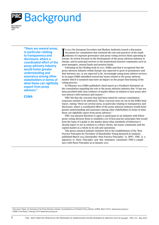

BEST PRACTICE PRINCIPLES 2022

> "there are several areas, in particular relating to transparency and disclosure, where a coordinated effort of the proxy advisory industry would foster greater understanding and assurance among other stakeholders in terms of what these can rightfully expect from proxy advisors."

ESMA

In 2012 the European Securities and Markets Authority issued a discussion document for consultation that reviewed the role and practices of the small industry of corporate governance and proxy voting services firms operati n 2012 the European Securities and Markets Authority issued a discussion document for consultation that reviewed the role and practices of the small industry of corporate governance and proxy voting services firms operating in Europe, and its principal services to the institutional investor community such as asset managers, mutual funds and pension funds.

Following its fact finding work in 2011, ESMA said that it recognised that the proxy advisory industry within Europe was expected to grow in prominence and that investors are, or are expected to be, increasingly using proxy advisor services. In its paper ESMA identified several key issues related to the proxy advisory market which it surmised may have an impact on the proper functioning of the voting process.<sup>1</sup>

In February 2013 ESMA published a final report as a Feedback Statement on the consultation regarding the role or the proxy advisory industry that "it has not been provided with clear evidence of market failure in relation to how proxy advisors interact with investors and issuers".<sup>2</sup>

PIRC felt that the concerns that had been raised by various consultation responses needed to be addressed. These concerns were set out in the ESMA final report, stating "there are several areas, in particular relating to transparency and disclosure, where a coordinated effort of the proxy advisory industry would foster greater understanding and assurance among other stakeholders in terms of what these can rightfully expect from proxy advisors."

PIRC was pleased therefore to agree to participate in an initiative with fellow proxy voting advisory firms to establish a set of best practice principles that would form the basis of a guide to the market about what standards of behaviour it should expect to see in relation to a firm's clients, the issuer community and the capital market as a whole in its role and operations.

This proxy research industry initiative led to the establishment of the 'Best Practice Principles for Providers of Shareholder Voting Research & Analysis', published March 2014 (hereinafter 'Best Practice Principles' or BPP). PIRC is a signatory to these Principles and this statement constitutes PIRC's compliance with these Principles as at January 2021.

<sup>1</sup> Discussion Paper: An Overview of the Proxy Advisory Industry. Considerations on Possible Policy Options, ESMA, March 2012, www.esma.europa.eu 2 ESMA Final Report, February 2014 www.esma.europa.eu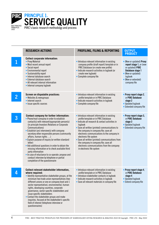

|                | <b>RESEARCH ACTIONS</b>                                                                                                                                                                                                                                                                                                                                                                                                                                                                                                                                                                                                                                                            | PROFILING, FILING & REPORTING                                                                                                                                                                                                                                                                                                                                                                                                                                                                  | <b>OUTPUT,</b><br><b>PRODUCT</b>                                                                                                                                    |
|----------------|------------------------------------------------------------------------------------------------------------------------------------------------------------------------------------------------------------------------------------------------------------------------------------------------------------------------------------------------------------------------------------------------------------------------------------------------------------------------------------------------------------------------------------------------------------------------------------------------------------------------------------------------------------------------------------|------------------------------------------------------------------------------------------------------------------------------------------------------------------------------------------------------------------------------------------------------------------------------------------------------------------------------------------------------------------------------------------------------------------------------------------------------------------------------------------------|---------------------------------------------------------------------------------------------------------------------------------------------------------------------|
|                | <b>Collect corporate information:</b><br>• Proxy Material<br>• Most recent annual report<br>• Social report<br>• Environmental report<br>• Sustainability report<br>· Internal database search<br>• External database search<br>• All relevant internal information<br>• Internal company logbook                                                                                                                                                                                                                                                                                                                                                                                  | • Introduce relevant information in existing<br>company profile (draft report) template or in<br>PIRC Database (or create new profile)<br>• Indicate research activities in logbook (or<br>create new logbook)<br>• Complete company file                                                                                                                                                                                                                                                      | • (New or updated) Proxy<br>report stage 1, or (new<br>or updated) PIRC<br>Database stage 1<br>• (New or updated)<br>logbook<br>• (New or extended)<br>company file |
| $\overline{2}$ | Screen on disputable practices:<br>• Websites & newsgroups<br>• Internet search<br>• Issue specific sources                                                                                                                                                                                                                                                                                                                                                                                                                                                                                                                                                                        | • Introduce relevant information in existing<br>profile template or in PIRC Database<br>• Indicate research activities in logbook<br>• Complete company file                                                                                                                                                                                                                                                                                                                                   | • Proxy report stage 2,<br>or PIRC Database<br>stage 2<br>• Updated logbook<br>• Extended company file                                                              |
| 3              | <b>Contact company for further information:</b><br>• Phone/mail company in order to establish<br>contact(s) with relevant/appropriate person(s)<br>(in principle Investors Relations or Corporate<br>Communications)<br>• Establish (an) interview(s) with company<br>secretary other responsible persons (community<br>affairs, human rights )<br>• Explain purpose of inquiry (or written standard<br>letter)<br>• Ask additional questions in order to obtain the<br>missing information or to check available third<br>party information<br>. In case of reluctance to co-operate: propose and<br>conduct interview by telephone or partial<br>completion of the questionnaire | • Introduce relevant information in existing<br>profile template or in PIRC Database<br>• Indicate all research & contact activities in<br>logbook<br>• Save all written (printed) communications to<br>the company in company file; save all<br>electronic communications to the company in<br>electronic file system<br>• Save all written (printed) communications from<br>the company in company file; save all<br>electronic communications from the company<br>in electronic file system | • Proxy report stage 3,<br>or PIRC Database<br>stage 3<br>• Updated logbook<br>• Extended company file                                                              |
| 4              | Collect relevant stakeholder information,<br>where required:<br>• Identify representative stakeholder groups; at the<br>minimum two trade union representatives (two<br>different unions or one on company level and 1<br>sector representative), environmental, human<br>rights, developing countries, corporate<br>governance, sector specific stakeholders and<br>issue specific stakeholders<br>• Contact the stakeholder groups and make<br>inquiries, focused at the stakeholder's specific<br>field of interest (telephone interview or<br>questionnaires)                                                                                                                  | • Introduce relevant information in existing<br>profile template or in PIRC Database<br>• Introduce stakeholder contacts in logbook<br>• Indicate research activities in logbook<br>• Save all relevant materials in company file                                                                                                                                                                                                                                                              | • Proxy report stage 4,<br>or PIRC Database<br>stage 4<br>• Updated logbook<br>• Extend company file                                                                |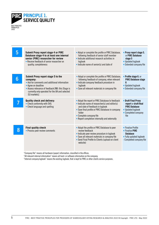

BEST PRACTICE PRINCIPLES 2022

| 5 | <b>Submit Proxy report stage 4 or PIRC</b><br>Database stage 4 to at least one internal<br>senior (PIRC) researcher for review<br>• Receive feedback of senior researcher on<br>quality, completeness                                         | • Adapt or complete the profile or PIRC Database,<br>following feedback of senior staff member<br>• Indicate additional research activities in<br>logbook<br>• Indicate name of senior(s) and date of                                                                                  | • Proxy report stage 5,<br>or PIRC Database<br>stage 5<br>• Updated logbook<br>• Extended company file                   |
|---|-----------------------------------------------------------------------------------------------------------------------------------------------------------------------------------------------------------------------------------------------|----------------------------------------------------------------------------------------------------------------------------------------------------------------------------------------------------------------------------------------------------------------------------------------|--------------------------------------------------------------------------------------------------------------------------|
| 6 | Submit Proxy report stage 5 to the<br>company:<br>• Ask for comments and additional information<br>• Agree on deadline<br>• Assess relevance of feedback [NB: this Stage is<br>currently only operated for the UK and selected<br>EU markets] | • Adapt or complete the profile or PIRC Database,<br>following feedback of company, when relevant<br>• Indicate company feedback procedure in<br>logbook<br>• Save all relevant materials in company file                                                                              | • Profile stage 6, or<br><b>PIRC Database stage</b><br>6<br>• Updated logbook<br>Extended company file                   |
|   | <b>Quality check and delivery:</b><br>• Check conformity with SVG<br>• Check language and spelling                                                                                                                                            | • Adapt the report or PIRC Database to feedback<br>$\bullet$ Indicate name of researcher(s) and editor(s)<br>and date of feedback in logbook<br>• Save final profile or PIRC Database in company<br>folder<br>• Complete company file<br>• Report completion internally and externally | • Draft Final Proxy<br>report or draft final<br><b>PIRC Database</b><br>• Updated logbook<br>• Completed company<br>file |
| 8 | <b>Final quality check</b><br>• Process peer review comments                                                                                                                                                                                  | • Adapt the profile or PIRC Database to peer<br>review feedback<br>• Indicate peer review procedure in logbook<br>• Save all relevant materials in company file<br>• Send Final Profile to Clients (upload on client<br>website)                                                       | • Finalise Profile<br>• Finalise PIRC<br><b>Database</b><br>• Fully updated logbook<br>- Completed company file          |

"Company file" means all hardware (paper) information, classified in the offices.

"All relevant internal information" means all hard- or software information on the company.

"Internal company logbook" means the existing logbook, that is kept for PIRC or other clients service purposes.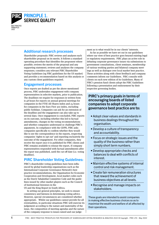

#### Additional research processes

Shareholder proposals: PIRC reviews and analyses each shareholder proposal on its merits. It follows a standard operating procedure that identifies the proponent where possible; reviews the merits of the proposal and any supporting statement; reviews and analyses the company responses; considers any relevant PIRC Shareholder Voting Guidelines (eg PIRC guidelines for the US market) and provides a recommendation based on this analysis or any custom client guidelines required.

#### Engagement processes

Once reports are drafted as per the above-mentioned process, PIRC undertakes engagement with company representatives in selective markets, prior to publication. The deadlines we require for responses in written form is 48 hours for reports on annual general meetings for companies in the FTSE All Shares index and 24 hours for companies in the Euro First 300 index, excluding public holidays. Companies can ask for an extension of the deadline and the engagement can also take up to several days. Once engagement is concluded, PIRC reports on its outcome, including whether this led to factual amendments, changes in the voting recommendations and whether companies understand or challenge PIRC's arguments. In compliance with the GDPR, PIRC asks companies specifically to confirm whether they would like to see the correspondence in the reports, respecting companies 'rights to opt out' and reporting exclusively the outcome of the engagement. For other companies, they receive the report once it is published for PIRC clients and PIRC remains available to reissue the report, if company representatives responded with factual amendments after the report was published, until the cut-off date (i.e. voting deadline).

#### PIRC Shareholder Voting Guidelines:

PIRC's shareholder voting guidelines have been influenced by global leadership organisations such as the International Corporate Governance Network's best practice recommendations, the Organisation for Economic Cooperation and Development, local market codes such as the Dutch Tabaksblat Committee Code and the guidelines issued by other market players such as the Council of Institutional Investors in the

US and the King Report in South Africa.

In setting out general principles, we seek to ensure consistency and fairness in determining voting advice. However, special circumstances are considered whether appropriate. Whilst our guidelines cannot provide for all eventualities, in particular situations PIRC will exercise its judgement according to the nature and materiality of the issue, the composition of meeting agendas and the nature of the company response to issues raised and our judgement as to what would be in our clients' interests.

As far as possible we have set out in our guidelines where our view of best practice goes beyond existing legal or regulatory requirements. PIRC plays an active role in debating corporate governance issues via submissions to government consultations, client seminars, membership of various working parties and bilateral company meetings as well as dialogue over local market best practice. These activities along with client feedback and company comments inform our Guidelines. PIRC consults with clients on each new edition of its Guidelines. Many of PIRC's pension fund clients adopt the PIRC Guidelines following a presentation and endorsement by their respective governing bodies.

#### PIRC's primary goals in terms of encouraging boards of listed companies to adopt corporate governance best practice are to:

- Adopt clear values and standards in business dealings throughout the organisation.
- Develop a culture of transparency and accountability.
- Focus on strategic issues and the quality of the business rather than simply short term numbers.
- Develop appropriate checks and balances to deal with conflicts of interest.
- Maintain effective systems of internal control and risk management.
- Create fair remuneration structures that reward the achievement of business objectives at all levels.
- Recognise and manage impacts on stakeholders.

These goals are intended to assist companies in making effective business choices so as to maximise the wealth and welfare of all affected by their operations.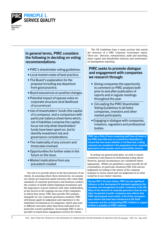

In general terms, PIRC considers the following in deciding on voting recommendations:

- PIRC's shareholder voting guidelines.
- Local market codes of best practice.
- The Board's explanation for the proposal including any departure from good practice.
- Board assurances on positive changes.
- Potential impact of oppose votes on corporate structure (and likelihood of occurrence).
- Use of shareholders' funds (the capital of a company), and a comparison with particular balance sheet items which, net of liabilities comprise the capital, focus not only what shareholders' funds have been spent on, but to identify investment risk and governance considerations.
- The materiality of any concern and timescales involved.
- Opportunities for further votes in the future on the issue.
- Market implications from any precedent created.

Our role is to provide advice in the best interests of our clients. In assessing where these interests lie, we assume our clients are long-term equity investors who value high standards of corporate governance and business conduct, the creation of wealth within legitimate boundaries and the importance of good relations with other stakeholders, as key factors in the ongoing success of the companies in which they invest. PIRC does provide ESG analysis alongside its core corporate governance analysis. PIRC will always apply its judgement and experience to the individual circumstances of companies, which may lead to different outcomes other than those indicated in its particular country guidelines. Increasingly PIRC is also a provider of stand alone engagement services for clients.

The UK Guidelines have 6 main sections that match the structure of a PIRC Corporate Governance report. These are: directors, remuneration, audit and reporting, share capital and shareholder relations and environmental management reporting.

#### PIRC seeks to promote dialogue and engagement with companies we research through:

- Giving companies the opportunity to comment on PIRC analysis both prior to and after publication of reports and in regular meetings throughout the year.
- Circulating the PIRC Shareholder Voting Guidelines to all listed companies, investors and other market participants.
- Engaging in dialogue with companies, investors, regulators and professional bodies.

PIRC has a Policy Forum comprising staff from all levels of the PIRC team that acts as a conduit for information to ensure that new issues (whether or not they have a voting outcome) are considered in the preparation of our corporate governance and corporate social responsibility research.

In setting out general principles, we seek to ensure consistency and fairness in determining voting advice. However, special circumstances are considered where appropriate. Whilst our guidelines cannot provide for all eventualities, in particular situations PIRC will exercise judgement according to the nature of the company response to issues raised and our judgement as to what would be in our clients' interests.

During PIRC's 32 years history, PIRC has had significant influence on the development of standards applying to the operation and management of public companies in the UK. Many of the elements of corporate governance that are now taken for granted at public companies were reforms that PIRC had proposed much earlier. A list of the core governance reforms that have been introduced at UK listed companies and the corresponding PIRC initiative in support of them is available on PIRC's website.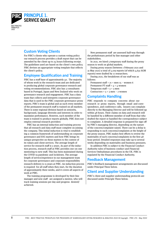

#### Custom Voting Clients

For PIRC's clients who operate a custom voting policy our research process provides a draft report that can be amended by the client up to 24 hours following receipt. The guidelines used are based on the client's own policy. PIRC devises an appropriate voting template that reflects the client's policy.

#### Employee Qualification and Training

PIRC has a staff base of approximately 40. The majority of whom work in the research team and are dedicated to producing global corporate governance research and voting recommendations. PIRC also has 3 consultants based in Portugal, Japan and New Zealand who work on governance research and engagement. PIRC has a data team that collects and interprets corporate governance data that is used in the PIRC corporate governance proxy reports. PIRC's team is global and as such every member of the permanent research staff is trained on all markets. There is some regional division based on seniority, background, language diversity and interests in order to maximise performance. However, each member of the team is trained to produce reports globally. PIRC does not employ external research providers

PIRC has an internal induction and training process that all research and data staff must complete on joining the company. This initial induction is vital to establishing a common framework of understanding on corporate governance and ESG matters and how PIRC brings its unique perspective on these matters to the context of its values and client services. The average length of service for research staff is 5 years. As part of the induction process, research staff at PIRC provides one-on-one mentoring to new staff. This has been maintained during the COVID-19 pandemic and lockdown. The average length of service/experience in our management team for corporate governance and corporate responsibility research delivery is 15 years at PIRC. An induction process is required for all staff when they start, for the duration of approximately three weeks, and it covers all aspects of work at PIRC.

The training programme is developed by their line manager and new staff are assigned a mentor, who will track training sessions per day and progress desired/ achieved.

New permanent staff are assessed half-way through the probationary period by line manager and other stakeholders.

In 2021, we hired 5 temporary staff during the proxy season to work on global markets.

During proxy season (between 1 February 2021 and 31 May 2021) a total of 5,109 reports (of which 4,632 AGM reports) were drafted by 11 researchers.

During 2021, the breakdown of our staff was as follows:

Permanent staff =  $21$  = men  $15$  – women 6 Permanent PT staff =  $4 = 4$  women Temporary staff =  $3 = 3$  men Contractors =  $5 = 3$  men – 2 women

#### Complaints Handling

PIRC responds to company concerns about our research or proxy reports, through email and correspondence, and conference calls, Issuers can complain directly to the Managing Director and will be followed up within 48 hours. Their claims on data and research will be handled by a different member of staff from that who drafted the report or handled the correspondence subject to complaint. A detailed response is prepared for sign-off by PIRC's managing director, depending on the nature of the concern/complaint raised. There can be a delay is responding to such concerns/complaints at the height of the proxy season. PIRC makes best efforts to review the materiality of such concerns/complaints in the first 48 hour period. Detailed responses may take up to several weeks depending on materiality and business pressures.

In addition PIRC is subject to the Financial Conduct Authority rules of business conduct and Financial Services Ombudsman procedures in the UK. PIRC is regulated by the Financial Conduct Authority.

#### Feedback Management

PIRC's feedback management arrangements are discussed under Principal Three below.

#### Client and Supplier Understanding

PIRC's client and supplier understanding protocols are discussed under Principle Three below.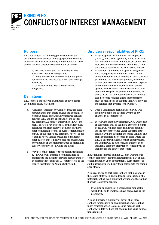

## PRC PRINCIPLE 2. CONFLICTS OF INTEREST MANAGEMENT

#### Purpose

PIRC has written the following policy statement that describes how we propose to manage potential conflicts of interest we may have with any of our clients. Our objectives in drafting this policy statement are as follows:

> (1) to assure clients that the information and advice PIRC provides is impartial;

(2) to outline a system whereby actual and potential conflicts are disclosed to clients and managed effectively.

(3) to provide clients with clear disclosure obligations.

#### **Definitions**

PIRC suggests the following definitions apply to terms used in this policy statement:

- A. "Conflict of Interest" or "Conflict" includes those circumstances that create or have the potential to create an actual or reasonably perceived conflict between PIRC and the client and/or the client's key personnel. A conflict exists when PIRC or the client, or PIRC's key personnel, or the client's key personnel or a close relative, domestic partner or other significant personal or business relationship of PIRC or the client's key personnel knows, or has reason to know, that he or she has a financial or other interest that is likely to bias his or her advice or evaluation of any matter regarded as material to the services between PIRC and the client.
- B "Key Personnel" refers to those persons identified by PIRC who will exercise a significant role in providing to the client the services required under an assignment or contract. C. "Staff" refers to the client's Investment or Administrative staff.

#### Disclosure responsibilities of PIRC:

- A. In its response to a Request for Proposal ("RFP"), PIRC shall generally identify in writing the circumstances and nature of Conflicts that may arise if it were selected to provide to a client the services set forth in the RFP's scope of work.
- B. In addition, at the time of a specific assignment PIRC shall generally identify in writing to the client the circumstances and nature of all Conflicts pertinent to the specific assignment, recommendation, advice or other service. PIRC shall explain whether the Conflict is manageable or unmanageable. If the Conflict is manageable, PIRC will explain the steps or measures that it intends to take to avoid the Conflict or manage the Conflict. The disclosure required under this paragraph must be made prior to the time that PIRC provides the services that give rise to the Conflict.
- C. Once a Conflict has been disclosed, PIRC will promptly update the client in writing of any changes in circumstances.
- D. In following this policy statement, PIRC will consider the spirit as well as the literal expression of this policy. PIRC will take responsibility for scrutinising the services provided under the terms of the contract with the client for any future Conflicts and make appropriate disclosures. In cases where the PIRC is unsure whether a Conflict actually exists, the Conflict will be disclosed, for example in an individual company proxy report, where it will be identified in the body of that report.

Induction and internal training: All staff will undergo conflict of interest identification training as part of their overall induction upon appointment. Every member of staff must report periodically their holdings to the compliance officer.

PIRC is sensitive to particular conflicts that may arise in the course of its work. The following is an example of a potential conflict in an important are important area that it brings to clients' attention:

- Providing an analysis of a shareholder proposal in which PIRC or its employees have been advising the proponent.

PIRC will provide a summary of any or all of those conflicts for its clients on an annual basis where it has taken remedial action to disclose and manage such conflicts. To date we have not had any disclosure notifications required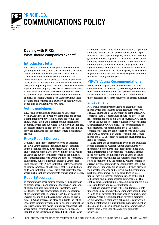

## PRG PRINCIPLE 3. COMMUNICATIONS POLICY

#### Dealing with PIRC: What should companies expect?

#### Introductory letter

PIRC's initial communications policy with companies (issuers) begins with a letter sent by email to a published contact address at the company. PIRC seeks to have a dialogue via the company secretary but will use a general corporate contact address if this is absent from disclosures. In that letter PIRC will ask for documents to assist in its reporting. These include a prior year's annual reports and the Company's Articles of Association. These requests follow inclusion of the company within PIRC research coverage, determined by the portfolio holdings of clients or local market indices. Changes within these holdings are monitored on a quarterly or monthly basis, depending on availability of new data.

#### Voting guidelines

PIRC seeks to update and publishes its Shareholder Voting Guidelines each year. UK companies can expect a complimentary pdf version by email following each annual publication and a corresponding explanatory document which sets out where PIRC policy has changed. For foreign markets outside the UK All-Share index, PIRC provides guidelines for each market where client stocks are held.

#### Proxy Report Delivery

Companies can expect their investors to be informed of PIRC's voting recommendations ahead of statutory voting deadlines for any given market. As PIRC is just one of many intermediaries involved in the proxy voting chain we are subject to the imposition of deadlines by other intermediaries with whom we have no contractual relationship. Where externally imposed voting deadlines conflict with PIRC's contractual delivery deadlines to clients, companies should expect that PIRC will adhere to its own contractual terms. This is particularly the case where such deadlines are subject to change at short notice.

#### Report Accuracy

In common with other proxy agencies, PIRC endeavours to provide research and recommendations on thousands of companies held in institutional investors' equity portfolios. The high concentration of general meetings at certain times of the year requires PIRC, on behalf of investor clients, to distil a significant volume of disclosure. PIRC has processes in place to mitigate the risk of inaccurate commentary reaching its clients. Despite these processes, errors may occur. Companies can expect that where factual errors which impact on a voting recommendation are identified and agreed, PIRC will re- issue

an amended report to its clients and provide a copy to the company. Outside the UK, all companies should expect to receive a final copy of our proxy report. PIRC does not guarantee that this copy will be dispatched ahead of the company's individual proxy deadline. At the end of each summer, the research teams reviews engagement and aggregated data from the UK FTSE AllShare, in order to review research during the previous proxy season. Outlying data is singled out and reviewed. Ongoing training is performed throughout the year.

#### PIRC's Voting Recommendations

Issuers should expect some of the votes cast by their shareholders to be informed by PIRC voting recommendations. PIRC recommendations are based on the principles advocated by PIRC's Shareholder Voting Guidelines and the conclusions of research done prior to general meetings.

#### Engagement

PIRC works for its investor clients and not the companies in which those clients invest. However for the UK FTSE All Share and FTSE Eurofirst 300 companies, PIRC considers that UK companies should be able to see its recommendations as a matter of courtesy. PIRC sends copy of the published reports to all issuers whose shares are subscribed by PIRC's clients, in correspondence of their meetings. For companies in the FTSE Allshare, companies are sent the draft report prior to publication and have 48 hours as a deadline for comments. Companies in the FTSE Eurofirst 300 index are given instead 24 hours to respond.

Every company engagement is given in the published report, disclosing : whether factual amendments were incorporated, whether the amendments included additional information not in response to a factual amendment, whether the comments led to changes in voting recommendations, whether the outcomes were understood or challenged by the company. Where companies suggest any amendments to be incorporated into PIRC's draft report, they will only be considered when provided via a written response and received in a timely manner. Such amendments will only be considered in questions of fact. All external communications cc the Head of Research and a shared mailbox (pircresearch). This enables consistent tracking of all communication vis-à-vis ethics guidelines and escalation if needed.

Purchase of shares brings with it fundamental rights underpinned by Company Law. Companies should expect PIRC to be an advocate of the use of such rights by shareholders. Where a recommendation to vote is premised on our view that a company's behaviour is contrary to a fundamental principle, it is unlikely that engagement or dialogue will result in a change in our recommendation unless there is evidence of a change in corporate behaviour.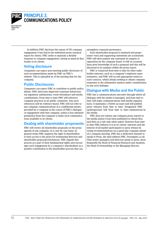

#### PIRC PRINCIPLE 3. COMMUNICATIONS POLICY

In addition PIRC discloses the nature of UK company engagement it has had in the individual proxy research report for clients. PIRC seeks to maintain a flexible response to company engagement, baring in mind its first loyalty to its clients.

#### Voting disclosure

Companies can expect post-meeting public disclosure of each recommendation made by PIRC on PIRC's website. This is uploaded as of the meeting date for the company.

#### Public Disclosures

Companies can expect PIRC to contribute to public policy debate. PIRC advocates improved corporate behaviours via regulatory submissions, event attendance and media contributions. From time to time PIRC will reference company practices in its public comments. Any such references will be evidence based. PIRC will not refer to any company communications of a confidential nature, provided by a company in the course of PIRC's dialogue or engagement with that company, unless it has obtained permission from the company to make such communications available to its clients.

#### Dealing with shareholder proponents

PIRC will review all shareholder proposals on the proxy agenda of any company, on a case by case basis. In general terms PIRC supports the right of shareholders to have access to the proxy for nominating directors and shareholder proposals/resolutions. PIRC regards this process as a part of their fundamental rights and encourages such engagement by a company's shareholders as a positive contribution to the shareholder process that can

strengthen corporate governance.

Each shareholder proposal is analysed and proponents' texts and supporting statements are scrutinised. PIRC will then analyse any statement in support or opposition by the company board. It will on occasion have prior knowledge of such a proposal and this will be disclosed in its analysis within the proxy report.

PIRC is contacted from time to time by other stakeholder interests, such as a company's employee representatives, and PIRC will accord appropriate status to such contacts, whilst always seeking to obtain company responses to the substantive matters under consideration in any such dialogue.

#### Dialogue with Media and the Public

PIRC has a communications executive through which all dialogue with the media is managed, and from time to time will make communications with media organisations. It maintains a Twitter account and will publish press releases from time to time. Designated PIRC spokespersons will from time to time communicate in the media.

PIRC does not release any company proxy reports to the media unless it has been published to clients first, and then as a rule only when asked. However from time to time PIRC believes it is in its clients' interests and the interest of all market participants to press release its voting recommendations on a particular company ahead of a company meeting. PIRC has a dedicated channel to speak to Press, the mail address PIRC\_Press@pirc.co.uk Only senior managers and directors speak to press, most frequently the Head of Financial Research and Analysis, the Head of Stewardship or the Managing Director.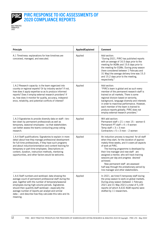

#### PIRC RESPONSE TO IOC ASSESSMENTS OF 2020 COMPLIANCE REPORTS

| Principle                                                                                                                                                                                                                                                                                                                                                                                                     | <b>Applied/Explained</b> | <b>Comment</b>                                                                                                                                                                                                                                                                                                                                                                                                                                                                         |
|---------------------------------------------------------------------------------------------------------------------------------------------------------------------------------------------------------------------------------------------------------------------------------------------------------------------------------------------------------------------------------------------------------------|--------------------------|----------------------------------------------------------------------------------------------------------------------------------------------------------------------------------------------------------------------------------------------------------------------------------------------------------------------------------------------------------------------------------------------------------------------------------------------------------------------------------------|
| A.1 Timeliness: explanations for how timelines are<br>conceived, managed, and executed.                                                                                                                                                                                                                                                                                                                       | Applied                  | Add section:<br>"During 2021, PIRC has published reports<br>with an average of 16.5 days prior to the<br>meeting for AGMs and 15.6 days prior to<br>the meeting for EGMs. During proxy season<br>(here considered between 1 February and<br>31 May) the average delivery time was 15.3<br>and 15.2 days prior to the meeting,<br>respectively."                                                                                                                                        |
| 1.A.2 Research capacity: is the team organized into<br>country or regional experts? Or by industry sector? If not,<br>how does it apply expertise so as to produce informed<br>reports? Does it employ external research providers? If<br>so, how does it monitor for quality, accuracy, independ-<br>ence, reliability, and potential conflicts of interest?                                                 | Applied                  | Add section:<br>"PIRC's team is global and as such every<br>member of the permanent research staff is<br>trained on all markets. There is some<br>regional division based on seniority,<br>background, language diversity and interests<br>in order to maximise performance. However,<br>each member of the team is trained to<br>produce reports globally. PIRC does not<br>employ external research providers."                                                                      |
| 1.A.3 Signatories to provide diversity data on staff-bro-<br>ken down by permanent professionals as well as<br>temporary, seasonal employees-so that stakeholders<br>can better assess the teams conducting proxy voting<br>research.                                                                                                                                                                         | Applied                  | Will add section:<br>Permanent staff = $21$ = men $15$ – women 6<br>Permanent PT staff = $4 = 4$ women<br>Temp staff = $3 = 3$ men<br>Contractors = $5 = 3$ men - 2 women                                                                                                                                                                                                                                                                                                              |
| 1.A.4 Staff qualifications: Signatories to explain in more<br>detail about how they manage professional development<br>for full-time professionals, if they have such programs<br>and about induction/orientation and content training for<br>temporary or part-time employees. Descriptions on<br>content, duration, instruction methods, mentoring<br>opportunities, and other factors would be welcome.    | Applied                  | An induction process is required for all staff<br>when they start, for the duration of approxi-<br>mately three weeks, and it covers all aspects<br>of work at PIRC.<br>The training programme is developed by<br>their line manager and new staff are<br>assigned a mentor, who will track training<br>sessions per day and progress desired/<br>achieved.<br>New permanent staff are assessed<br>half-way through the probationary period by<br>line manager and other stakeholders. |
| 1.A.6 Staff numbers and workload: data showing the<br>average count of permanent professional staff during the<br>year, together with the number of temporary/seasonal<br>employees during high-volume periods. Signatories<br>should then quantify staff workload-especially the<br>average number of reports per analyst and similar<br>data-and describe how they calculate this ratio and its<br>meaning. | Applied                  | In 2021, we hired 5 temporary staff during<br>the proxy season to work on global markets.<br>During proxy season (between 1 February<br>2021 and 31 May 2021) a total of 5,109<br>reports (of which 4,632 AGM reports) were<br>drafted by 11 researchers.                                                                                                                                                                                                                              |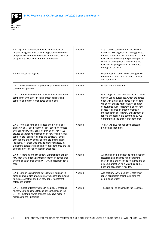

| 1.A.7 Quality assurance: data and explanations on<br>fact-checking and error-tracking together with remedia-<br>tion practices on both corrections and how lessons may<br>be applied to avert similar errors in the future.                                                                                                                                                                                                                                                                                                       | Applied | At the end of each summer, the research<br>teams reviews engagement and aggregated<br>data from the UK FTSE AllShare, in order to<br>review research during the previous proxy<br>season. Outlying data is singled out and<br>reviewed. Ongoing training is performed<br>throughout the year.                                                                                                                  |
|-----------------------------------------------------------------------------------------------------------------------------------------------------------------------------------------------------------------------------------------------------------------------------------------------------------------------------------------------------------------------------------------------------------------------------------------------------------------------------------------------------------------------------------|---------|----------------------------------------------------------------------------------------------------------------------------------------------------------------------------------------------------------------------------------------------------------------------------------------------------------------------------------------------------------------------------------------------------------------|
| 1.A.9 Statistics at a glance                                                                                                                                                                                                                                                                                                                                                                                                                                                                                                      | Applied | Data of reports published w. average days<br>before the meeting will be added in total<br>and per market.                                                                                                                                                                                                                                                                                                      |
| 2.A.1. Revenue sources: Signatories to provide as much<br>such data as possible.                                                                                                                                                                                                                                                                                                                                                                                                                                                  | Applied | Private and Confidential.                                                                                                                                                                                                                                                                                                                                                                                      |
| 2.A.2. Compliance monitoring: explaining in detail how<br>compliance with own rules and practices regarding<br>conflicts of interest is monitored and policed.                                                                                                                                                                                                                                                                                                                                                                    | Applied | PIRC engages solely with issuers and based<br>on own voting guidelines, which are agreed<br>upon with clients and shared with issuers.<br>We do not engage with solicitors or other<br>consultants. Also, researchers do not have<br>access to clients, in order to maintain<br>independence of research. Engagement ex<br>reports and research is performed by two<br>different teams to ensure independence. |
| 2.A.3. Potential conflict instances and notifications.<br>Signatory to (1) spell out the risks of specific conflicts<br>and, conversely, what conflicts they do not have; (2)<br>provide quantitative information on how often potential<br>conflicts are flagged to clients and others; (3) detail<br>descriptions of how potential conflicts are managed<br>including, for those who provide overlay services, by<br>explaining safeguards against potential conflicts; and (4)<br>offer examples of risk mitigation practices. | Applied | To date we have not had any disclosure<br>notifications required.                                                                                                                                                                                                                                                                                                                                              |
| 2.A.5. Recording and escalation: Signatories to explain<br>how each would track any staff breaches in compliance<br>and ethics guidelines and how it would escalate such a<br>case.                                                                                                                                                                                                                                                                                                                                               | Applied | All external communications cc the Head of<br>Research and a shared mailbox (pircre-<br>search). This enables consistent tracking of<br>all communication vis-à-vis ethics guide-<br>lines and escalation if needed.                                                                                                                                                                                           |
| 2.A.6. Employee share trading: Signatory to report in<br>detail on its policies around employee share trading and<br>to indicate whether and how they apply to different<br>categories of staff                                                                                                                                                                                                                                                                                                                                   | Applied | Add section: Every member of staff must<br>report periodically their holdings to the<br>compliance officer.                                                                                                                                                                                                                                                                                                    |
| 2.A.7. Impact of Best Practice Principles: Signatories<br>might wish to enhance stakeholder confidence in the<br>BPP by illustrating what changes they have made in<br>response to the Principles                                                                                                                                                                                                                                                                                                                                 | Applied | This grid will be attached to the response.                                                                                                                                                                                                                                                                                                                                                                    |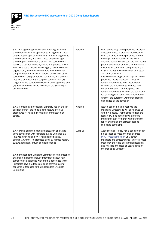



| 3.A.1 Engagement practices and reporting: Signatory<br>should fully explain its approach to engagement. Those<br>that do not engage, or feature only limited engagement,<br>should explain why and how. Those that do engage<br>should report information that can help stakeholders<br>assess the quality, intensity, scope, and purpose of such<br>work. This could involve disclosing (1) how they define<br>engagement, including whether it is directed only at<br>companies (and if so, which parties) or also with other<br>stakeholders; (2) quantitative, qualitative, and timeline<br>metrics that illustrate the scope of such activity; (3)<br>geographic and sectoral breakdowns of engagement; and<br>(4) track outcomes, where relevant to the Signatory's<br>business model. | Applied | PIRC sends copy of the published reports to<br>all issuers whose shares are subscribed by<br>PIRC's clients, in correspondence of their<br>meetings. For companies in the FTSE<br>Allshare, companies are sent the draft report<br>prior to publication and have 48 hours as a<br>deadline for comments. Companies in the<br>FTSE Eurofirst 300 index are given instead<br>24 hours to respond.<br>Every company engagement is given in the<br>published report, disclosing : whether<br>factual amendments were incorporated,<br>whether the amendments included addi-<br>tional information not in response to a<br>factual amendment, whether the comments<br>led to changes in voting recommendations,<br>whether the outcomes were understood or<br>challenged by the company. |
|----------------------------------------------------------------------------------------------------------------------------------------------------------------------------------------------------------------------------------------------------------------------------------------------------------------------------------------------------------------------------------------------------------------------------------------------------------------------------------------------------------------------------------------------------------------------------------------------------------------------------------------------------------------------------------------------------------------------------------------------------------------------------------------------|---------|-------------------------------------------------------------------------------------------------------------------------------------------------------------------------------------------------------------------------------------------------------------------------------------------------------------------------------------------------------------------------------------------------------------------------------------------------------------------------------------------------------------------------------------------------------------------------------------------------------------------------------------------------------------------------------------------------------------------------------------------------------------------------------------|
| 3.A.3 Complaints procedures: Signatory has an explicit<br>obligation under the Principles to feature effective<br>procedures for handling complaints from issuers or<br>others.                                                                                                                                                                                                                                                                                                                                                                                                                                                                                                                                                                                                              | Applied | Issuers can complain directly to the<br>Managing Director and will be followed up<br>within 48 hours. Their claims on data and<br>research will be handled by a different<br>member of staff from that who drafted the<br>report or handled the correspondence<br>subject to complaint.                                                                                                                                                                                                                                                                                                                                                                                                                                                                                             |
| 3.A.4 Media communication policies: part of a Signa-<br>tory's compliance with Principle 3, and Guidance 3.3,<br>involves reporting on how it handles media and,<br>optimally, whether its practices differ by market, region,<br>culture, language, or type of media channel.                                                                                                                                                                                                                                                                                                                                                                                                                                                                                                               | Applied | Added section: "PIRC has a dedicated chan-<br>nel to speak to Press, the mail address<br>PIRC Press@pirc.co.uk Only senior<br>managers and directors speak to press, most<br>frequently the Head of Financial Research<br>and Analysis, the Head of Stewardship or<br>the Managing Director."                                                                                                                                                                                                                                                                                                                                                                                                                                                                                       |
| 3.A.5 Independent Oversight Committee communication<br>channel: Signatories include information about how<br>stakeholders unsatisfied with a firm's adherence to the<br>Principles have a fallback option of communicating<br>concerns or feedback to the Independent Oversight<br>Committee.                                                                                                                                                                                                                                                                                                                                                                                                                                                                                                |         |                                                                                                                                                                                                                                                                                                                                                                                                                                                                                                                                                                                                                                                                                                                                                                                     |